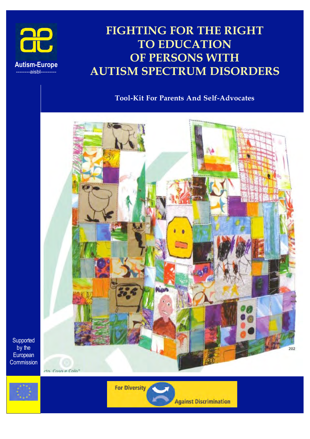

# **FIGHTING FOR THE RIGHT TO EDUCATION OF PERSONS WITH AUTISM SPECTRUM DISORDERS**

# **Tool-Kit For Parents And Self-Advocates**



**Supported** by the **European Commission** 

rto. Coso e Colo"



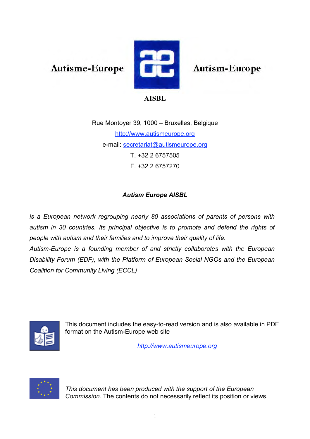**Autisme-Europe** 



**Autism-Europe** 

# **AISBL**

Rue Montoyer 39, 1000 – Bruxelles, Belgique http://www.autismeurope.org e-mail: secretariat@autismeurope.org T. +32 2 6757505 F. +32 2 6757270

# *Autism Europe AISBL*

*is a European network regrouping nearly 80 associations of parents of persons with autism in 30 countries. Its principal objective is to promote and defend the rights of people with autism and their families and to improve their quality of life. Autism-Europe is a founding member of and strictly collaborates with the European Disability Forum (EDF), with the Platform of European Social NGOs and the European Coalition for Community Living (ECCL)*



This document includes the easy-to-read version and is also available in PDF format on the Autism-Europe web site

*http://www.autismeurope.org*



*This document has been produced with the support of the European Commission.* The contents do not necessarily reflect its position or views*.*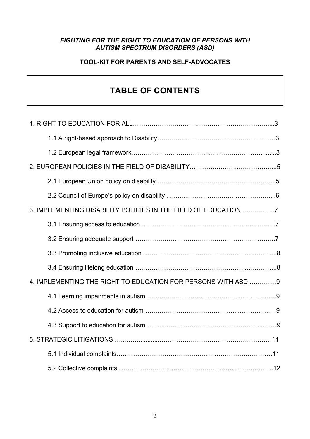# *FIGHTING FOR THE RIGHT TO EDUCATION OF PERSONS WITH AUTISM SPECTRUM DISORDERS (ASD)*

# **TOOL-KIT FOR PARENTS AND SELF-ADVOCATES**

# **TABLE OF CONTENTS**

| 3. IMPLEMENTING DISABILITY POLICIES IN THE FIELD OF EDUCATION 7 |
|-----------------------------------------------------------------|
|                                                                 |
|                                                                 |
|                                                                 |
|                                                                 |
| 4. IMPLEMENTING THE RIGHT TO EDUCATION FOR PERSONS WITH ASD 9   |
|                                                                 |
|                                                                 |
|                                                                 |
|                                                                 |
|                                                                 |
|                                                                 |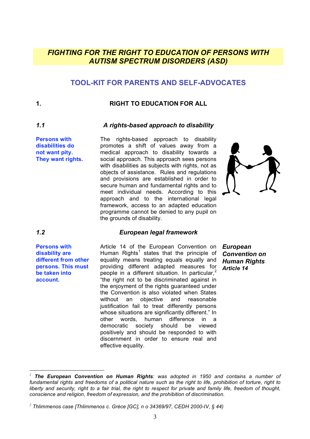# *FIGHTING FOR THE RIGHT TO EDUCATION OF PERSONS WITH AUTISM SPECTRUM DISORDERS (ASD)*

# **TOOL-KIT FOR PARENTS AND SELF-ADVOCATES**

# **1. RIGHT TO EDUCATION FOR ALL**

## *1.1 A rights-based approach to disability*

**Persons with disabilities do not want pity. They want rights.** The rights-based approach to disability promotes a shift of values away from a medical approach to disability towards a social approach. This approach sees persons with disabilities as subjects with rights, not as objects of assistance. Rules and regulations and provisions are established in order to secure human and fundamental rights and to meet individual needs. According to this approach and to the international legal framework, access to an adapted education programme cannot be denied to any pupil on the grounds of disability.



 $\overline{a}$ 

# *1.2 European legal framework*

**Persons with disability are different from other persons. This must be taken into account.**

Article 14 of the European Convention on Human Rights<sup>1</sup> states that the principle of equality means treating equals equally and providing different adapted measures for people in a different situation. In particular, $<sup>2</sup>$ </sup> "the right not to be discriminated against in the enjoyment of the rights guaranteed under the Convention is also violated when States without an objective and reasonable justification fail to treat differently persons whose situations are significantly different." In other words, human difference in a democratic society should be viewed positively and should be responded to with discernment in order to ensure real and effective equality.

*European Convention on Human Rights Article 14*

*<sup>1</sup> The European Convention on Human Rights: was adopted in 1950 and contains a number of* fundamental rights and freedoms of a political nature such as the right to life, prohibition of torture, right to liberty and security, right to a fair trial, the right to respect for private and family life, freedom of thought, *conscience and religion, freedom of expression, and the prohibition of discrimination.*

*<sup>2</sup> Thlimmenos case [Thlimmenos c. Grèce [GC], n o 34369/97, CEDH 2000-IV, § 44)*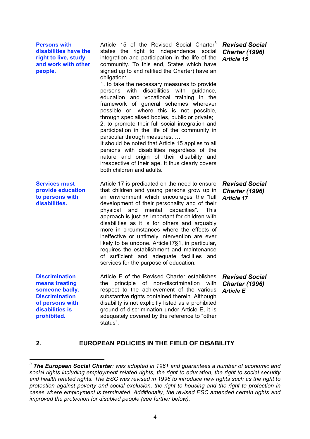| <b>Persons with</b><br>disabilities have the<br>right to live, study<br>and work with other<br>people.                                  | Article 15 of the Revised Social Charter <sup>3</sup><br>states the right to independence, social<br>integration and participation in the life of the<br>community. To this end, States which have<br>signed up to and ratified the Charter) have an<br>obligation:<br>1. to take the necessary measures to provide<br>persons with disabilities with guidance,<br>education and vocational training in the<br>framework of general schemes wherever<br>possible or, where this is not possible,<br>through specialised bodies, public or private;<br>2. to promote their full social integration and<br>participation in the life of the community in<br>particular through measures,<br>It should be noted that Article 15 applies to all<br>persons with disabilities regardless of the<br>nature and origin of their disability and<br>irrespective of their age. It thus clearly covers<br>both children and adults. | <b>Revised Social</b><br><b>Charter (1996)</b><br><b>Article 15</b> |
|-----------------------------------------------------------------------------------------------------------------------------------------|---------------------------------------------------------------------------------------------------------------------------------------------------------------------------------------------------------------------------------------------------------------------------------------------------------------------------------------------------------------------------------------------------------------------------------------------------------------------------------------------------------------------------------------------------------------------------------------------------------------------------------------------------------------------------------------------------------------------------------------------------------------------------------------------------------------------------------------------------------------------------------------------------------------------------|---------------------------------------------------------------------|
| <b>Services must</b><br>provide education<br>to persons with<br>disabilities.                                                           | Article 17 is predicated on the need to ensure<br>that children and young persons grow up in<br>an environment which encourages the "full<br>development of their personality and of their<br>physical<br>mental<br>capacities".<br>and<br>This<br>approach is just as important for children with<br>disabilities as it is for others and arguably<br>more in circumstances where the effects of<br>ineffective or untimely intervention are ever<br>likely to be undone. Article17§1, in particular,<br>requires the establishment and maintenance<br>of sufficient and adequate facilities and<br>services for the purpose of education.                                                                                                                                                                                                                                                                               | <b>Revised Social</b><br><b>Charter (1996)</b><br><b>Article 17</b> |
| <b>Discrimination</b><br>means treating<br>someone badly.<br><b>Discrimination</b><br>of persons with<br>disabilities is<br>prohibited. | Article E of the Revised Charter establishes<br>principle<br>of non-discrimination<br>with<br>the<br>respect to the achievement of the various<br>substantive rights contained therein. Although<br>disability is not explicitly listed as a prohibited<br>ground of discrimination under Article E, it is<br>adequately covered by the reference to "other<br>status".                                                                                                                                                                                                                                                                                                                                                                                                                                                                                                                                                   | <b>Revised Social</b><br><b>Charter (1996)</b><br><b>Article E</b>  |

**2. EUROPEAN POLICIES IN THE FIELD OF DISABILITY**

*<sup>3</sup> The European Social Charter: was adopted in 1961 and guarantees a number of economic and social rights including employment related rights, the right to education, the right to social security and health related rights. The ESC was revised in 1996 to introduce new rights such as the right to protection against poverty and social exclusion, the right to housing and the right to protection in cases where employment is terminated. Additionally, the revised ESC amended certain rights and improved the protection for disabled people (see further below).*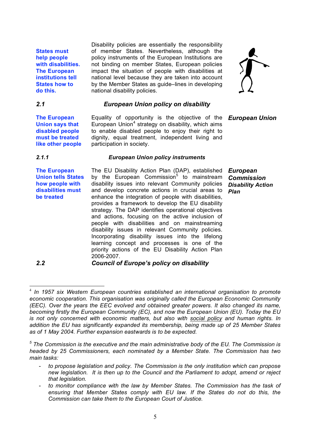**States must help people with disabilities. The European institutions tell States how to do this.**

Disability policies are essentially the responsibility of member States. Nevertheless, although the policy instruments of the European Institutions are not binding on member States, European policies impact the situation of people with disabilities at national level because they are taken into account by the Member States as guide–lines in developing national disability policies.



# *2.1 European Union policy on disability*

European Union<sup>4</sup> strategy on disability, which aims to enable disabled people to enjoy their right to dignity, equal treatment, independent living and

Equality of opportunity is the objective of the *European Union*

**The European Union says that disabled people must be treated like other people**

# *2.1.1 European Union policy instruments*

participation in society.

**The European Union tells States how people with disabilities must be treated**

The EU Disability Action Plan (DAP), established by the European Commission<sup>5</sup> to mainstream disability issues into relevant Community policies and develop concrete actions in crucial areas to enhance the integration of people with disabilities, provides a framework to develop the EU disability strategy. The DAP identifies operational objectives and actions, focusing on the active inclusion of people with disabilities and on mainstreaming disability issues in relevant Community policies. Incorporating disability issues into the lifelong learning concept and processes is one of the priority actions of the EU Disability Action Plan 2006-2007.

*European Commission Disability Action Plan*

*2.2 Council of Europe's policy on disability*

*<sup>5</sup> The Commission is the executive and the main administrative body of the EU. The Commission is headed by 25 Commissioners, each nominated by a Member State. The Commission has two main tasks:*

- *to propose legislation and policy. The Commission is the only institution which can propose new legislation. It is then up to the Council and the Parliament to adopt, amend or reject that legislation.*
- *to monitor compliance with the law by Member States. The Commission has the task of ensuring that Member States comply with EU law. If the States do not do this, the Commission can take them to the European Court of Justice.*

 <sup>4</sup> *In 1957 six Western European countries established an international organisation to promote economic cooperation. This organisation was originally called the European Economic Community (EEC). Over the years the EEC evolved and obtained greater powers. It also changed its name, becoming firstly the European Community (EC), and now the European Union (EU). Today the EU is not only concerned with economic matters, but also with social policy and human rights. In addition the EU has significantly expanded its membership, being made up of 25 Member States as of 1 May 2004. Further expansion eastwards is to be expected.*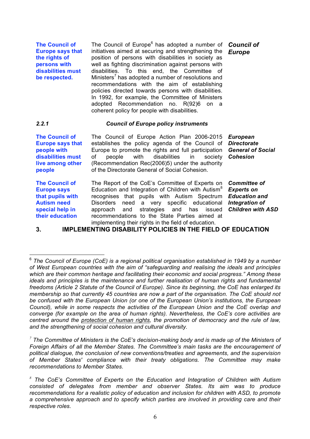**The Council of Europe says that the rights of persons with disabilities must be respected.**

The Council of Europe<sup>6</sup> has adopted a number of **Council of** initiatives aimed at securing and strengthening the position of persons with disabilities in society as well as fighting discrimination against persons with disabilities. To this end, the Committee of Ministers<sup>7</sup> has adopted a number of resolutions and recommendations with the aim of establishing policies directed towards persons with disabilities. In 1992, for example, the Committee of Ministers adopted Recommendation no. R(92)6 on a coherent policy for people with disabilities.

## *2.2.1 Council of Europe policy instruments*

**The Council of Europe says that people with disabilities must live among other people**

The Council of Europe Action Plan 2006-2015 establishes the policy agenda of the Council of Europe to promote the rights and full participation of people with disabilities in society (Recommendation Rec(2006)5) under the authority of the Directorate General of Social Cohesion.

**The Council of Europe says that pupils with Autism need special help in their education**

The Report of the CoE's Committee of Experts on Education and Integration of Children with Autism<sup>8</sup> recognises that pupils with Autism Spectrum Disorders need a very specific educational approach and strategies and has issued recommendations to the State Parties aimed at implementing their rights in the field of education.

*European Directorate General of Social Cohesion*

*Committee of Experts on Education and Integration of Children with ASD*

# **3. IMPLEMENTING DISABILITY POLICIES IN THE FIELD OF EDUCATION**

*<sup>7</sup> The Committee of Ministers is the CoE's decision-making body and is made up of the Ministers of Foreign Affairs of all the Member States. The Committee's main tasks are the encouragement of political dialogue, the conclusion of new conventions/treaties and agreements, and the supervision of Member States' compliance with their treaty obligations. The Committee may make recommendations to Member States.*

*Europe*

<sup>6</sup> *The Council of Europe (CoE) is <sup>a</sup> regional political organisation established in 1949 by <sup>a</sup> number of West European countries with the aim of "safeguarding and realising the ideals and principles which are their common heritage and facilitating their economic and social progress." Among these ideals and principles is the maintenance and further realisation of human rights and fundamental freedoms (Article 2 Statute of the Council of Europe). Since its beginning, the CoE has enlarged its membership so that currently 45 countries are now a part of the organisation. The CoE should not be confused with the European Union (or one of the European Union's institutions, the European Council), while in some respects the activities of the European Union and the CoE overlap and converge (for example on the area of human rights). Nevertheless, the CoE's core activities are centred around the protection of human rights, the promotion of democracy and the rule of law, and the strengthening of social cohesion and cultural diversity.*

*<sup>8</sup> The CoE's Committee of Experts on the Education and Integration of Children with Autism consisted of delegates from member and observer States. Its aim was to produce recommendations for a realistic policy of education and inclusion for children with ASD, to promote a comprehensive approach and to specify which parties are involved in providing care and their respective roles.*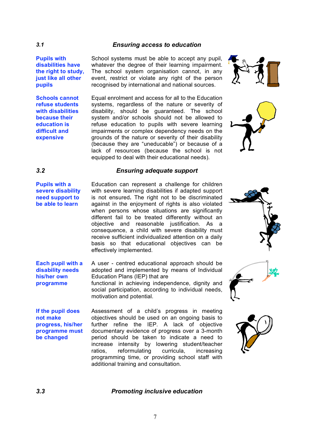## *3.1 Ensuring access to education*

**Pupils with disabilities have the right to study, just like all other pupils**

**Schools cannot refuse students with disabilities because their education is difficult and expensive**

School systems must be able to accept any pupil, whatever the degree of their learning impairment. The school system organisation cannot, in any event, restrict or violate any right of the person recognised by international and national sources.

Equal enrolment and access for all to the Education systems, regardless of the nature or severity of disability, should be guaranteed. The school system and/or schools should not be allowed to refuse education to pupils with severe learning impairments or complex dependency needs on the grounds of the nature or severity of their disability (because they are "uneducable") or because of a lack of resources (because the school is not equipped to deal with their educational needs).





# *3.2 Ensuring adequate support*

**Pupils with a severe disability need support to be able to learn**

Education can represent a challenge for children with severe learning disabilities if adapted support is not ensured**.** The right not to be discriminated against in the enjoyment of rights is also violated when persons whose situations are significantly different fail to be treated differently without an objective and reasonable justification. As a consequence, a child with severe disability must receive sufficient individualized attention on a daily basis so that educational objectives can be effectively implemented.

**Each pupil with a disability needs his/her own programme**

A user - centred educational approach should be adopted and implemented by means of Individual Education Plans (IEP) that are functional in achieving independence, dignity and

social participation, according to individual needs, motivation and potential.

**If the pupil does not make progress, his/her programme must be changed**

Assessment of a child's progress in meeting objectives should be used on an ongoing basis to further refine the IEP. A lack of objective documentary evidence of progress over a 3-month period should be taken to indicate a need to increase intensity by lowering student/teacher ratios, reformulating curricula, increasing programming time, or providing school staff with additional training and consultation.







### *3.3 Promoting inclusive education*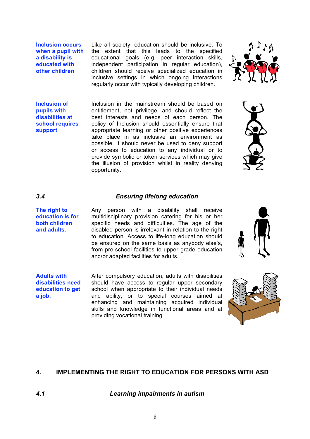**Inclusion occurs when a pupil with a disability is educated with other children**

Like all society, education should be inclusive. To the extent that this leads to the specified educational goals (e.g. peer interaction skills, independent participation in regular education), children should receive specialized education in inclusive settings in which ongoing interactions regularly occur with typically developing children.



**Inclusion of pupils with disabilities at school requires support**

Inclusion in the mainstream should be based on entitlement, not privilege, and should reflect the best interests and needs of each person. The policy of Inclusion should essentially ensure that appropriate learning or other positive experiences take place in as inclusive an environment as possible. It should never be used to deny support or access to education to any individual or to provide symbolic or token services which may give the illusion of provision whilst in reality denying opportunity.



### *3.4 Ensuring lifelong education*

**The right to education is for both children and adults.**

Any person with a disability shall receive multidisciplinary provision catering for his or her specific needs and difficulties. The age of the disabled person is irrelevant in relation to the right to education. Access to life-long education should be ensured on the same basis as anybody else's, from pre-school facilities to upper grade education and/or adapted facilities for adults.

**Adults with disabilities need education to get a job.**

After compulsory education, adults with disabilities should have access to regular upper secondary school when appropriate to their individual needs and ability, or to special courses aimed at enhancing and maintaining acquired individual skills and knowledge in functional areas and at providing vocational training.





# **4. IMPLEMENTING THE RIGHT TO EDUCATION FOR PERSONS WITH ASD**

*4.1 Learning impairments in autism*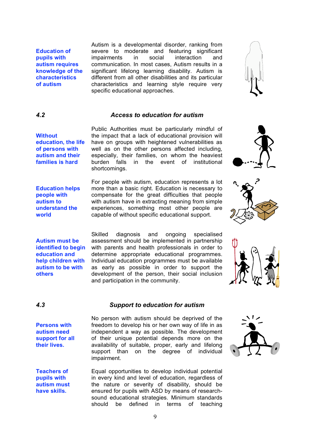**Education of pupils with autism requires knowledge of the characteristics of autism**

Autism is a developmental disorder, ranking from severe to moderate and featuring significant impairments in social interaction and communication. In most cases, Autism results in a significant lifelong learning disability. Autism is different from all other disabilities and its particular characteristics and learning style require very specific educational approaches.

## *4.2 Access to education for autism*

**education, the life of persons with autism and their families is hard** the impact that a lack of educational provision will have on groups with heightened vulnerabilities as well as on the other persons affected including, especially, their families, on whom the heaviest burden falls in the event of institutional shortcomings.

**Education helps people with autism to understand the world**

**Without** 

For people with autism, education represents a lot more than a basic right. Education is necessary to compensate for the great difficulties that people with autism have in extracting meaning from simple experiences, something most other people are capable of without specific educational support.

Skilled diagnosis and ongoing specialised assessment should be implemented in partnership with parents and health professionals in order to determine appropriate educational programmes. Individual education programmes must be available as early as possible in order to support the development of the person, their social inclusion

**Autism must be identified to begin education and help children with autism to be with others** 

**Persons with autism need support for all their lives.**

*4.3 Support to education for autism*

No person with autism should be deprived of the freedom to develop his or her own way of life in as independent a way as possible. The development of their unique potential depends more on the availability of suitable, proper, early and lifelong support than on the degree of individual impairment.

**Teachers of pupils with autism must have skills.** Equal opportunities to develop individual potential in every kind and level of education, regardless of the nature or severity of disability, should be ensured for pupils with ASD by means of researchsound educational strategies. Minimum standards should be defined in terms of teaching

and participation in the community.

# Public Authorities must be particularly mindful of







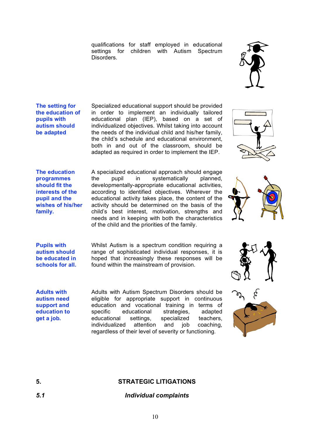qualifications for staff employed in educational settings for children with Autism Spectrum Disorders.



**The setting for the education of pupils with autism should be adapted**

Specialized educational support should be provided in order to implement an individually tailored educational plan (IEP), based on a set of individualized objectives. Whilst taking into account the needs of the individual child and his/her family, the child's schedule and educational environment, both in and out of the classroom, should be adapted as required in order to implement the IEP.



**The education programmes should fit the interests of the pupil and the wishes of his/her family.**

A specialized educational approach should engage the pupil in systematically planned, developmentally-appropriate educational activities, according to identified objectives. Wherever the educational activity takes place, the content of the activity should be determined on the basis of the child's best interest, motivation, strengths and needs and in keeping with both the characteristics of the child and the priorities of the family.



**Pupils with autism should be educated in schools for all.** Whilst Autism is a spectrum condition requiring a range of sophisticated individual responses, it is hoped that increasingly these responses will be found within the mainstream of provision.

**Adults with autism need support and education to get a job.**

Adults with Autism Spectrum Disorders should be eligible for appropriate support in continuous education and vocational training in terms of specific educational strategies, adapted educational settings, specialized teachers, individualized attention and job coaching, regardless of their level of severity or functioning.





# **5. STRATEGIC LITIGATIONS**

# *5.1 Individual complaints*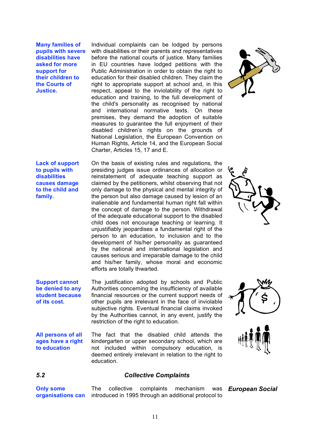**Many families of pupils with severe disabilities have asked for more support for their children to the Courts of Justice.**

Individual complaints can be lodged by persons with disabilities or their parents and representatives before the national courts of justice. Many families in EU countries have lodged petitions with the Public Administration in order to obtain the right to education for their disabled children. They claim the right to appropriate support at school and, in this respect, appeal to the inviolability of the right to education and training, to the full development of the child's personality as recognised by national and international normative texts. On these premises, they demand the adoption of suitable measures to quarantee the full enjoyment of their disabled children's rights on the grounds of National Legislation, the European Convention on Human Rights, Article 14, and the European Social Charter, Articles 15, 17 and E.

**Lack of support to pupils with disabilities causes damage to the child and family.**

On the basis of existing rules and regulations, the presiding judges issue ordinances of allocation or reinstatement of adequate teaching support as claimed by the petitioners, whilst observing that not only damage to the physical and mental integrity of the person but also damage caused by lesion of an inalienable and fundamental human right fall within the concept of damage to the person. Withdrawal of the adequate educational support to the disabled child does not encourage teaching or learning. It unjustifiably jeopardises a fundamental right of the person to an education, to inclusion and to the development of his/her personality as guaranteed by the national and international legislation and causes serious and irreparable damage to the child and his/her family, whose moral and economic efforts are totally thwarted.

**Support cannot be denied to any student because of its cost.**

**to education**

The justification adopted by schools and Public Authorities concerning the insufficiency of available financial resources or the current support needs of other pupils are irrelevant in the face of inviolable subjective rights. Eventual financial claims invoked by the Authorities cannot, in any event, justify the restriction of the right to education.

**All persons of all ages have a right**  The fact that the disabled child attends the kindergarten or upper secondary school, which are not included within compulsory education, is deemed entirely irrelevant in relation to the right to education.









## *5.2 Collective Complaints*

**Only some organisations can** The collective complaints mechanism was introduced in 1995 through an additional protocol to *European Social*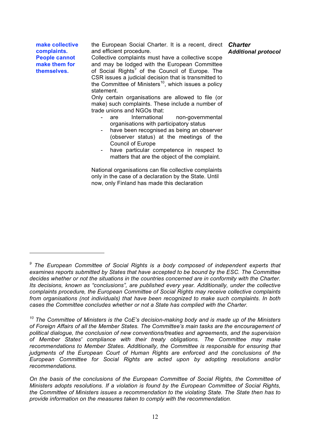**make collective complaints. People cannot make them for themselves.**

 $\overline{a}$ 

the European Social Charter. It is a recent, direct *Charter* and efficient procedure.

Collective complaints must have a collective scope and may be lodged with the European Committee of Social Rights*<sup>9</sup>* of the Council of Europe. The CSR issues a judicial decision that is transmitted to the Committee of Ministers<sup>10</sup>, which issues a policy statement.

Only certain organisations are allowed to file (or make) such complaints. These include a number of trade unions and NGOs that:

- are International non-governmental organisations with participatory status
- have been recognised as being an observer (observer status) at the meetings of the Council of Europe
- have particular competence in respect to matters that are the object of the complaint.

National organisations can file collective complaints only in the case of a declaration by the State. Until now, only Finland has made this declaration

*<sup>9</sup> The European Committee of Social Rights is a body composed of independent experts that examines reports submitted by States that have accepted to be bound by the ESC. The Committee decides whether or not the situations in the countries concerned are in conformity with the Charter. Its decisions, known as "conclusions", are published every year. Additionally, under the collective complaints procedure, the European Committee of Social Rights may receive collective complaints from organisations (not individuals) that have been recognized to make such complaints. In both cases the Committee concludes whether or not a State has complied with the Charter.*

*<sup>10</sup> The Committee of Ministers is the CoE's decision-making body and is made up of the Ministers of Foreign Affairs of all the Member States. The Committee's main tasks are the encouragement of political dialogue, the conclusion of new conventions/treaties and agreements, and the supervision of Member States' compliance with their treaty obligations. The Committee may make recommendations to Member States. Additionally, the Committee is responsible for ensuring that judgments of the European Court of Human Rights are enforced and the conclusions of the European Committee for Social Rights are acted upon by adopting resolutions and/or recommendations.*

*On the basis of the conclusions of the European Committee of Social Rights, the Committee of Ministers adopts resolutions. If a violation is found by the European Committee of Social Rights, the Committee of Ministers issues a recommendation to the violating State. The State then has to provide information on the measures taken to comply with the recommendation.*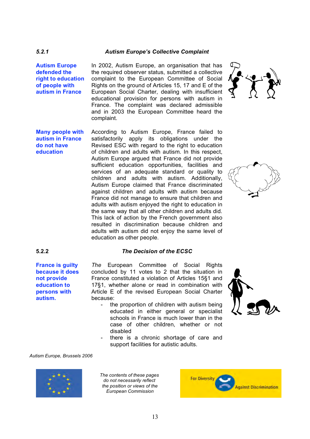## *5.2.1 Autism Europe's Collective Complaint*

**Autism Europe defended the right to education of people with autism in France**

In 2002, Autism Europe, an organisation that has the required observer status, submitted a collective complaint to the European Committee of Social Rights on the ground of Articles 15, 17 and E of the European Social Charter, dealing with insufficient educational provision for persons with autism in France. The complaint was declared admissible and in 2003 the European Committee heard the complaint.

**Many people with autism in France do not have education** According to Autism Europe, France failed to satisfactorily apply its obligations under the Revised ESC with regard to the right to education of children and adults with autism. In this respect, Autism Europe argued that France did not provide sufficient education opportunities, facilities and services of an adequate standard or quality to children and adults with autism. Additionally, Autism Europe claimed that France discriminated against children and adults with autism because France did not manage to ensure that children and adults with autism enjoyed the right to education in the same way that all other children and adults did. This lack of action by the French government also resulted in discrimination because children and adults with autism did not enjoy the same level of education as other people.

## **5.2.2** *The Decision of the ECSC*

**France is guilty because it does not provide education to persons with autism.**

*The* European Committee of Social Rights concluded by 11 votes to 2 that the situation in France constituted a violation of Articles 15§1 and 17§1, whether alone or read in combination with Article E of the revised European Social Charter because:

- the proportion of children with autism being educated in either general or specialist schools in France is much lower than in the case of other children, whether or not disabled
- there is a chronic shortage of care and support facilities for autistic adults.

### *Autism Europe, Brussels 2006*



*The contents of these pages do not necessarily reflect the position or views of the European Commission*







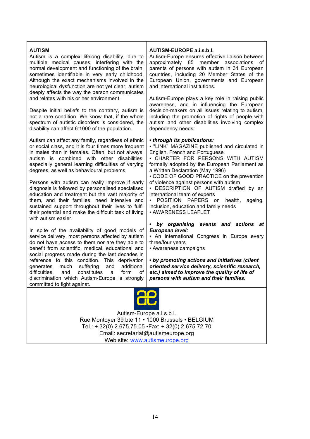### **AUTISM**

Autism is a complex lifelong disability, due to multiple medical causes, interfering with the normal development and functioning of the brain, sometimes identifiable in very early childhood. Although the exact mechanisms involved in the neurological dysfunction are not yet clear, autism deeply affects the way the person communicates and relates with his or her environment.

Despite initial beliefs to the contrary, autism is not a rare condition. We know that, if the whole spectrum of autistic disorders is considered, the disability can affect 6:1000 of the population.

Autism can affect any family, regardless of ethnic or social class, and it is four times more frequent in males than in females. Often, but not always, autism is combined with other disabilities, especially general learning difficulties of varying degrees, as well as behavioural problems.

Persons with autism can really improve if early diagnosis is followed by personalised specialised education and treatment but the vast majority of them, and their families, need intensive and sustained support throughout their lives to fulfil their potential and make the difficult task of living with autism easier.

In spite of the availability of good models of service delivery, most persons affected by autism do not have access to them nor are they able to benefit from scientific, medical, educational and social progress made during the last decades in reference to this condition. This deprivation generates much suffering and additional difficulties, and constitutes a form of discrimination which Autism-Europe is strongly committed to fight against.

### **AUTISM-EUROPE a.i.s.b.l.**

Autism-Europe ensures effective liaison between approximately 85 member associations of parents of persons with autism in 31 European countries, including 20 Member States of the European Union, governments and European and international institutions.

Autism-Europe plays a key role in raising public awareness, and in influencing the European decision-makers on all issues relating to autism, including the promotion of rights of people with autism and other disabilities involving complex dependency needs:

### **•** *through its publications:*

• "LINK" MAGAZINE published and circulated in English, French and Portuguese

• CHARTER FOR PERSONS WITH AUTISM formally adopted by the European Parliament as a Written Declaration (May 1996)

• CODE OF GOOD PRACTICE on the prevention of violence against persons with autism

• DESCRIPTION OF AUTISM drafted by an international team of experts

• POSITION PAPERS on health, ageing, inclusion, education and family needs

• AWARENESS LEAFLET

### **•** *by organising events and actions at European level:*

• An international Congress in Europe every three/four years

• Awareness campaigns

**•** *by promoting actions and initiatives (client oriented service delivery, scientific research, etc.) aimed to improve the quality of life of persons with autism and their families.*



Autism-Europe a.i.s.b.l. Rue Montoyer 39 bte 11 • 1000 Brussels • BELGIUM Tel.: + 32(0) 2.675.75.05 •Fax: + 32(0) 2.675.72.70 Email: secretariat@autismeurope.org Web site: www.autismeurope.org